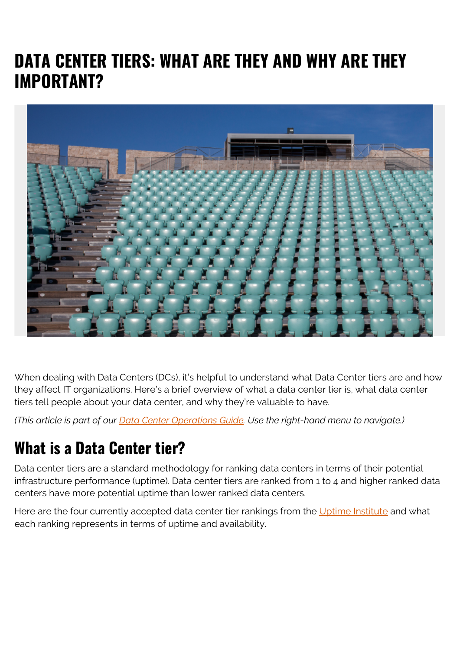# **DATA CENTER TIERS: WHAT ARE THEY AND WHY ARE THEY IMPORTANT?**



When dealing with Data Centers (DCs), it's helpful to understand what Data Center tiers are and how they affect IT organizations. Here's a brief overview of what a data center tier is, what data center tiers tell people about your data center, and why they're valuable to have.

*(This article is part of our [Data Center Operations Guide](https://blogs.bmc.com/blogs/data-center-operations/). Use the right-hand menu to navigate.)*

# **What is a Data Center tier?**

Data center tiers are a standard methodology for ranking data centers in terms of their potential infrastructure performance (uptime). Data center tiers are ranked from 1 to 4 and higher ranked data centers have more potential uptime than lower ranked data centers.

Here are the four currently accepted data center tier rankings from the [Uptime Institute](https://uptimeinstitute.com/) and what each ranking represents in terms of uptime and availability.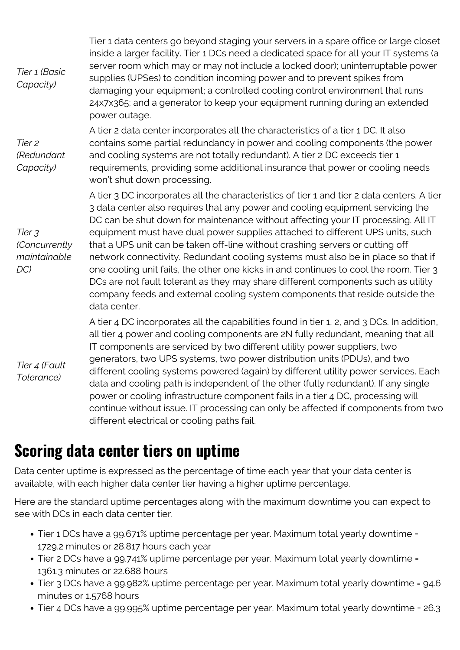| Tier 1 (Basic<br>Capacity)                     | Tier 1 data centers go beyond staging your servers in a spare office or large closet<br>inside a larger facility. Tier 1 DCs need a dedicated space for all your IT systems (a<br>server room which may or may not include a locked door); uninterruptable power<br>supplies (UPSes) to condition incoming power and to prevent spikes from<br>damaging your equipment; a controlled cooling control environment that runs<br>24x7x365; and a generator to keep your equipment running during an extended<br>power outage.                                                                                                                                                                                                                                                                           |
|------------------------------------------------|------------------------------------------------------------------------------------------------------------------------------------------------------------------------------------------------------------------------------------------------------------------------------------------------------------------------------------------------------------------------------------------------------------------------------------------------------------------------------------------------------------------------------------------------------------------------------------------------------------------------------------------------------------------------------------------------------------------------------------------------------------------------------------------------------|
| Tier <sub>2</sub><br>(Redundant<br>Capacity)   | A tier 2 data center incorporates all the characteristics of a tier 1 DC. It also<br>contains some partial redundancy in power and cooling components (the power<br>and cooling systems are not totally redundant). A tier 2 DC exceeds tier 1<br>requirements, providing some additional insurance that power or cooling needs<br>won't shut down processing.                                                                                                                                                                                                                                                                                                                                                                                                                                       |
| Tier 3<br>(Concurrently<br>maintainable<br>DC) | A tier 3 DC incorporates all the characteristics of tier 1 and tier 2 data centers. A tier<br>3 data center also requires that any power and cooling equipment servicing the<br>DC can be shut down for maintenance without affecting your IT processing. All IT<br>equipment must have dual power supplies attached to different UPS units, such<br>that a UPS unit can be taken off-line without crashing servers or cutting off<br>network connectivity. Redundant cooling systems must also be in place so that if<br>one cooling unit fails, the other one kicks in and continues to cool the room. Tier 3<br>DCs are not fault tolerant as they may share different components such as utility<br>company feeds and external cooling system components that reside outside the<br>data center. |
| Tier 4 (Fault<br>Tolerance)                    | A tier 4 DC incorporates all the capabilities found in tier 1, 2, and 3 DCs. In addition,<br>all tier 4 power and cooling components are 2N fully redundant, meaning that all<br>IT components are serviced by two different utility power suppliers, two<br>generators, two UPS systems, two power distribution units (PDUs), and two<br>different cooling systems powered (again) by different utility power services. Each<br>data and cooling path is independent of the other (fully redundant). If any single<br>power or cooling infrastructure component fails in a tier 4 DC, processing will<br>continue without issue. IT processing can only be affected if components from two<br>different electrical or cooling paths fail.                                                           |

#### **Scoring data center tiers on uptime**

Data center uptime is expressed as the percentage of time each year that your data center is available, with each higher data center tier having a higher uptime percentage.

Here are the standard uptime percentages along with the maximum downtime you can expect to see with DCs in each data center tier.

- Tier 1 DCs have a 99.671% uptime percentage per year. Maximum total yearly downtime = 1729.2 minutes or 28.817 hours each year
- Tier 2 DCs have a 99.741% uptime percentage per year. Maximum total yearly downtime = 1361.3 minutes or 22.688 hours
- Tier 3 DCs have a 99.982% uptime percentage per year. Maximum total yearly downtime = 94.6 minutes or 1.5768 hours
- Tier 4 DCs have a 99.995% uptime percentage per year. Maximum total yearly downtime = 26.3